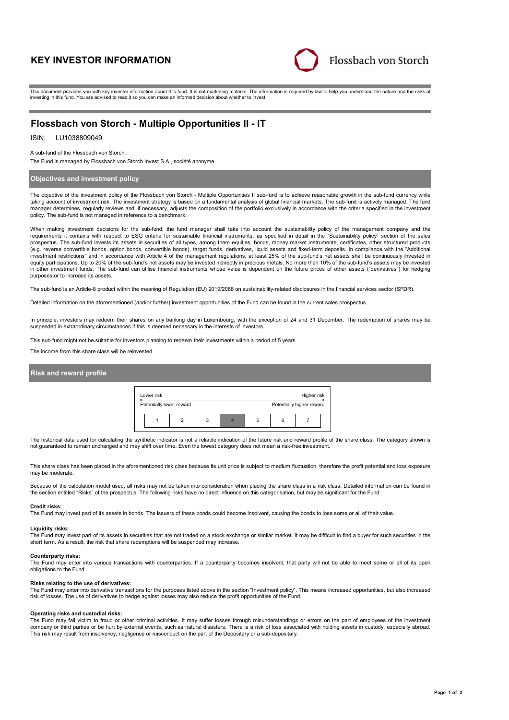# **KEY INVESTOR INFORMATION**



This document provides you with key investor information about this fund. It is not marketing material. The information is required by law to help you understand the nature and the risks of investing in this fund. You are advised to read it so you can make an informed decision about whether to invest.

# **Flossbach von Storch - Multiple Opportunities II - IT**

# ISIN: LU1038809049

A sub-fund of the Flossbach von Storch.

The Fund is managed by Flossbach von Storch Invest S.A., société anonyme.

## **Objectives and investment policy**

The objective of the investment policy of the Flossbach von Storch - Multiple Opportunities II sub-fund is to achieve reasonable growth in the sub-fund currency while taking account of investment risk. The investment strategy is based on a fundamental analysis of global financial markets. The sub-fund is actively managed. The fund manager determines, regularly reviews and, if necessary, adjusts the composition of the portfolio exclusively in accordance with the criteria specified in the investment policy. The sub-fund is not managed in reference to a benchmark.

When making investment decisions for the sub-fund, the fund manager shall take into account the sustainability policy of the management company and the requirements it contains with respect to ESG criteria for sustainable financial instruments, as specified in detail in the "Sustainability policy" section of the sales prospectus. The sub-fund invests its assets in securities of all types, among them equities, bonds, money market instruments, certificates, other structured products (e.g. reverse convertible bonds, option bonds, convertible bonds), target funds, derivatives, liquid assets and fixed-term deposits. In compliance with the "Additional investment restrictions" and in accordance with Article 4 of the management regulations, at least 25% of the sub-fund's net assets shall be continuously invested in equity participations. Up to 20% of the sub-fund's net assets may be invested indirectly in precious metals. No more than 10% of the sub-fund's assets may be invested in other investment funds. The sub-fund can utilise financial instruments whose value is dependent on the future prices of other assets ("derivatives") for hedging purposes or to increase its assets.

The sub-fund is an Article-8 product within the meaning of Regulation (EU) 2019/2088 on sustainability-related disclosures in the financial services sector (SFDR).

Detailed information on the aforementioned (and/or further) investment opportunities of the Fund can be found in the current sales prospectus.

In principle, investors may redeem their shares on any banking day in Luxembourg, with the exception of 24 and 31 December. The redemption of shares may be suspended in extraordinary circumstances if this is deemed necessary in the interests of investors.

This sub-fund might not be suitable for investors planning to redeem their investments within a period of 5 years.

The income from this share class will be reinvested.

## **Risk and reward profile**

| Lower risk<br>Higher risk |                          |  |   |                           |   |  |  |  |
|---------------------------|--------------------------|--|---|---------------------------|---|--|--|--|
|                           | Potentially lower reward |  |   | Potentially higher reward |   |  |  |  |
|                           |                          |  | 3 |                           | 5 |  |  |  |

The historical data used for calculating the synthetic indicator is not a reliable indication of the future risk and reward profile of the share class. The category shown is not guaranteed to remain unchanged and may shift over time. Even the lowest category does not mean a risk-free investment.

This share class has been placed in the aforementioned risk class because its unit price is subject to medium fluctuation, therefore the profit potential and loss exposure may be moderate

Because of the calculation model used, all risks may not be taken into consideration when placing the share class in a risk class. Detailed information can be found in the section entitled "Risks" of the prospectus. The following risks have no direct influence on this categorisation, but may be significant for the Fund:

#### **Credit risks:**

The Fund may invest part of its assets in bonds. The issuers of these bonds could become insolvent, causing the bonds to lose some or all of their value.

#### **Liquidity risks:**

The Fund may invest part of its assets in securities that are not traded on a stock exchange or similar market. It may be difficult to find a buyer for such securities in the short term. As a result, the risk that share redemptions will be suspended may increase.

#### **Counterparty risks:**

The Fund may enter into various transactions with counterparties. If a counterparty becomes insolvent, that party will not be able to meet some or all of its open obligations to the Fund.

#### **Risks relating to the use of derivatives:**

The Fund may enter into derivative transactions for the purposes listed above in the section "Investment policy". This means increased opportunities, but also increased risk of losses. The use of derivatives to hedge against losses may also reduce the profit opportunities of the Fund.

#### **Operating risks and custodial risks:**

The Fund may fall victim to fraud or other criminal activities. It may suffer losses through misunderstandings or errors on the part of employees of the investment company or third parties or be hurt by external events, such as natural disasters. There is a risk of loss associated with holding assets in custody, especially abroad. This risk may result from insolvency, negligence or misconduct on the part of the Depositary or a sub-depositary.